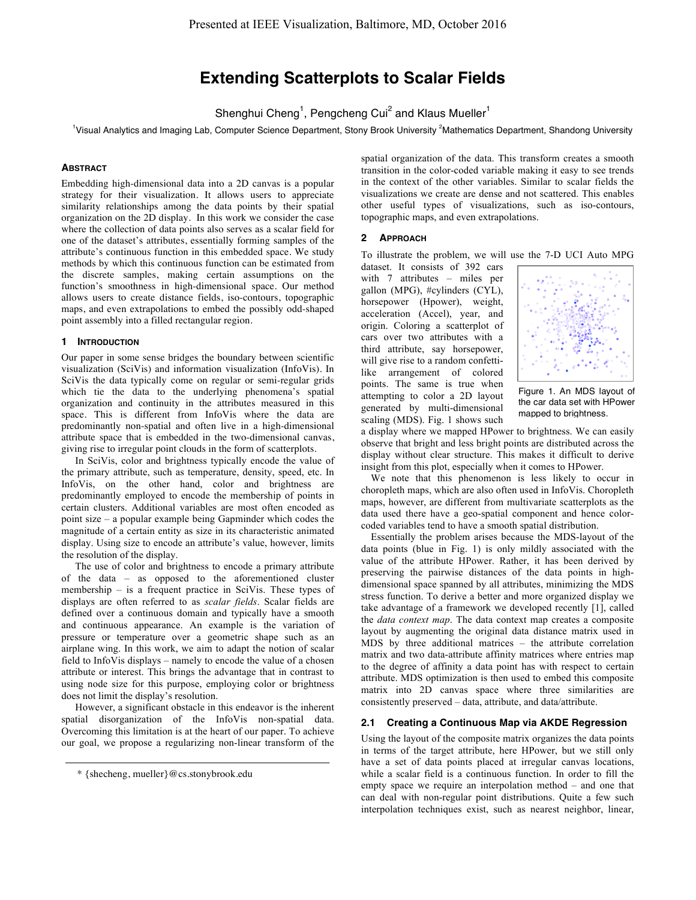# **Extending Scatterplots to Scalar Fields**

Shenghui Cheng<sup>1</sup>, Pengcheng Cui<sup>2</sup> and Klaus Mueller<sup>1</sup>

<sup>1</sup>Visual Analytics and Imaging Lab, Computer Science Department, Stony Brook University <sup>2</sup>Mathematics Department, Shandong University

## **ABSTRACT**

Embedding high-dimensional data into a 2D canvas is a popular strategy for their visualization. It allows users to appreciate similarity relationships among the data points by their spatial organization on the 2D display. In this work we consider the case where the collection of data points also serves as a scalar field for one of the dataset's attributes, essentially forming samples of the attribute's continuous function in this embedded space. We study methods by which this continuous function can be estimated from the discrete samples, making certain assumptions on the function's smoothness in high-dimensional space. Our method allows users to create distance fields, iso-contours, topographic maps, and even extrapolations to embed the possibly odd-shaped point assembly into a filled rectangular region.

## **1 INTRODUCTION**

Our paper in some sense bridges the boundary between scientific visualization (SciVis) and information visualization (InfoVis). In SciVis the data typically come on regular or semi-regular grids which tie the data to the underlying phenomena's spatial organization and continuity in the attributes measured in this space. This is different from InfoVis where the data are predominantly non-spatial and often live in a high-dimensional attribute space that is embedded in the two-dimensional canvas, giving rise to irregular point clouds in the form of scatterplots.

In SciVis, color and brightness typically encode the value of the primary attribute, such as temperature, density, speed, etc. In InfoVis, on the other hand, color and brightness are predominantly employed to encode the membership of points in certain clusters. Additional variables are most often encoded as point size – a popular example being Gapminder which codes the magnitude of a certain entity as size in its characteristic animated display. Using size to encode an attribute's value, however, limits the resolution of the display.

The use of color and brightness to encode a primary attribute of the data – as opposed to the aforementioned cluster membership – is a frequent practice in SciVis. These types of displays are often referred to as *scalar fields*. Scalar fields are defined over a continuous domain and typically have a smooth and continuous appearance. An example is the variation of pressure or temperature over a geometric shape such as an airplane wing. In this work, we aim to adapt the notion of scalar field to InfoVis displays – namely to encode the value of a chosen attribute or interest. This brings the advantage that in contrast to using node size for this purpose, employing color or brightness does not limit the display's resolution.

However, a significant obstacle in this endeavor is the inherent spatial disorganization of the InfoVis non-spatial data. Overcoming this limitation is at the heart of our paper. To achieve our goal, we propose a regularizing non-linear transform of the spatial organization of the data. This transform creates a smooth transition in the color-coded variable making it easy to see trends in the context of the other variables. Similar to scalar fields the visualizations we create are dense and not scattered. This enables other useful types of visualizations, such as iso-contours, topographic maps, and even extrapolations.

#### **2 APPROACH**

To illustrate the problem, we will use the 7-D UCI Auto MPG

dataset. It consists of 392 cars with 7 attributes – miles per gallon (MPG), #cylinders (CYL), horsepower (Hpower), weight, acceleration (Accel), year, and origin. Coloring a scatterplot of cars over two attributes with a third attribute, say horsepower, will give rise to a random confettilike arrangement of colored points. The same is true when attempting to color a 2D layout generated by multi-dimensional scaling (MDS). Fig. 1 shows such



Figure 1. An MDS layout of the car data set with HPower mapped to brightness.

a display where we mapped HPower to brightness. We can easily observe that bright and less bright points are distributed across the display without clear structure. This makes it difficult to derive insight from this plot, especially when it comes to HPower.

We note that this phenomenon is less likely to occur in choropleth maps, which are also often used in InfoVis. Choropleth maps, however, are different from multivariate scatterplots as the data used there have a geo-spatial component and hence colorcoded variables tend to have a smooth spatial distribution.

Essentially the problem arises because the MDS-layout of the data points (blue in Fig. 1) is only mildly associated with the value of the attribute HPower. Rather, it has been derived by preserving the pairwise distances of the data points in highdimensional space spanned by all attributes, minimizing the MDS stress function. To derive a better and more organized display we take advantage of a framework we developed recently [1], called the *data context map*. The data context map creates a composite layout by augmenting the original data distance matrix used in MDS by three additional matrices – the attribute correlation matrix and two data-attribute affinity matrices where entries map to the degree of affinity a data point has with respect to certain attribute. MDS optimization is then used to embed this composite matrix into 2D canvas space where three similarities are consistently preserved – data, attribute, and data/attribute.

## **2.1 Creating a Continuous Map via AKDE Regression**

Using the layout of the composite matrix organizes the data points in terms of the target attribute, here HPower, but we still only have a set of data points placed at irregular canvas locations, while a scalar field is a continuous function. In order to fill the empty space we require an interpolation method – and one that can deal with non-regular point distributions. Quite a few such interpolation techniques exist, such as nearest neighbor, linear,

<sup>\* {</sup>shecheng, mueller}@cs.stonybrook.edu